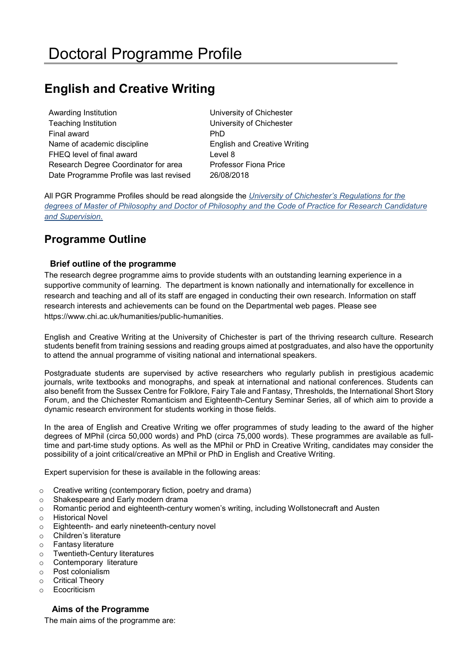# **English and Creative Writing**

| Awarding Institution                    | University of Chichester            |
|-----------------------------------------|-------------------------------------|
| <b>Teaching Institution</b>             | University of Chichester            |
| Final award                             | <b>PhD</b>                          |
| Name of academic discipline             | <b>English and Creative Writing</b> |
| FHEQ level of final award               | Level 8                             |
| Research Degree Coordinator for area    | <b>Professor Fiona Price</b>        |
| Date Programme Profile was last revised | 26/08/2018                          |

All PGR Programme Profiles should be read alongside the *[University of Chichester's Regulations for the](https://www.chi.ac.uk/about-us/policies-and-statements/academic-and-student-support)  [degrees of Master of Philosophy and Doctor of Philosophy](https://www.chi.ac.uk/about-us/policies-and-statements/academic-and-student-support) and the [Code of Practice for Research Candidature](https://www.chi.ac.uk/about-us/policies-and-statements/academic-and-student-support)  [and Supervision.](https://www.chi.ac.uk/about-us/policies-and-statements/academic-and-student-support)*

## **Programme Outline**

### **Brief outline of the programme**

The research degree programme aims to provide students with an outstanding learning experience in a supportive community of learning. The department is known nationally and internationally for excellence in research and teaching and all of its staff are engaged in conducting their own research. Information on staff research interests and achievements can be found on the Departmental web pages. Please see https://www.chi.ac.uk/humanities/public-humanities.

English and Creative Writing at the University of Chichester is part of the thriving research culture. Research students benefit from training sessions and reading groups aimed at postgraduates, and also have the opportunity to attend the annual programme of visiting national and international speakers.

Postgraduate students are supervised by active researchers who regularly publish in prestigious academic journals, write textbooks and monographs, and speak at international and national conferences. Students can also benefit from the [Sussex Centre for Folklore, Fairy Tale and Fantasy,](http://www.sussexfolktalecentre.org/) [Thresholds,](http://blogs.chi.ac.uk/shortstoryforum/welcome-to-thresholds-2/) the International Short Story Forum, and the Chichester Romanticism and Eighteenth-Century Seminar Series, all of which aim to provide a dynamic research environment for students working in those fields.

In the area of English and Creative Writing we offer programmes of study leading to the award of the higher degrees of MPhil (circa 50,000 words) and PhD (circa 75,000 words). These programmes are available as fulltime and part-time study options. As well as the MPhil or PhD in Creative Writing, candidates may consider the possibility of a joint critical/creative an MPhil or PhD in English and Creative Writing.

Expert supervision for these is available in the following areas:

- o Creative writing (contemporary fiction, poetry and drama)
- o Shakespeare and Early modern drama
- o Romantic period and eighteenth-century women's writing, including Wollstonecraft and Austen
- o Historical Novel
- o Eighteenth- and early nineteenth-century novel
- o Children's literature
- o Fantasy literature
- o Twentieth-Century literatures
- o Contemporary literature
- o Post colonialism
- o Critical Theory
- o Ecocriticism

## **Aims of the Programme**

The main aims of the programme are: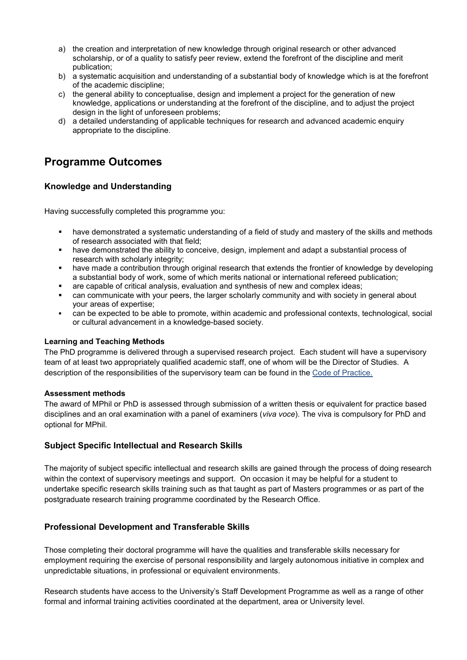- a) the creation and interpretation of new knowledge through original research or other advanced scholarship, or of a quality to satisfy peer review, extend the forefront of the discipline and merit publication;
- b) a systematic acquisition and understanding of a substantial body of knowledge which is at the forefront of the academic discipline;
- c) the general ability to conceptualise, design and implement a project for the generation of new knowledge, applications or understanding at the forefront of the discipline, and to adjust the project design in the light of unforeseen problems;
- d) a detailed understanding of applicable techniques for research and advanced academic enquiry appropriate to the discipline.

# **Programme Outcomes**

## **Knowledge and Understanding**

Having successfully completed this programme you:

- have demonstrated a systematic understanding of a field of study and mastery of the skills and methods of research associated with that field;
- have demonstrated the ability to conceive, design, implement and adapt a substantial process of research with scholarly integrity;
- have made a contribution through original research that extends the frontier of knowledge by developing a substantial body of work, some of which merits national or international refereed publication;
- are capable of critical analysis, evaluation and synthesis of new and complex ideas;
- can communicate with your peers, the larger scholarly community and with society in general about your areas of expertise;
- can be expected to be able to promote, within academic and professional contexts, technological, social or cultural advancement in a knowledge-based society.

### **Learning and Teaching Methods**

The PhD programme is delivered through a supervised research project. Each student will have a supervisory team of at least two appropriately qualified academic staff, one of whom will be the Director of Studies. A description of the responsibilities of the supervisory team can be found in the [Code of Practice.](https://www.chi.ac.uk/about-us/policies-and-statements/academic-and-student-supportdf?3y1HrtDLYQ0M8uLsL.65i1fF_yx9snAE) 

### **Assessment methods**

The award of MPhil or PhD is assessed through submission of a written thesis or equivalent for practice based disciplines and an oral examination with a panel of examiners (*viva voce*). The viva is compulsory for PhD and optional for MPhil.

### **Subject Specific Intellectual and Research Skills**

The majority of subject specific intellectual and research skills are gained through the process of doing research within the context of supervisory meetings and support. On occasion it may be helpful for a student to undertake specific research skills training such as that taught as part of Masters programmes or as part of the postgraduate research training programme coordinated by the Research Office.

### **Professional Development and Transferable Skills**

Those completing their doctoral programme will have the qualities and transferable skills necessary for employment requiring the exercise of personal responsibility and largely autonomous initiative in complex and unpredictable situations, in professional or equivalent environments.

Research students have access to the University's Staff Development Programme as well as a range of other formal and informal training activities coordinated at the department, area or University level.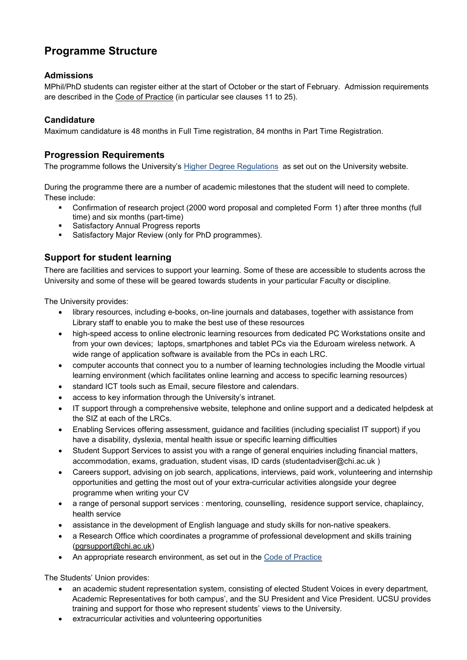# **Programme Structure**

## **Admissions**

MPhil/PhD students can register either at the start of October or the start of February. Admission requirements are described in the [Code of Practice](https://www.chi.ac.uk/about-us/policies-and-statements/academic-and-student-support) (in particular see clauses 11 to 25).

## **Candidature**

Maximum candidature is 48 months in Full Time registration, 84 months in Part Time Registration.

## **Progression Requirements**

The programme follows the University's [Higher Degree Regulations](http://www.chi.ac.uk/%3Cfront%3E/about-us/how-we-work/policies/academic-policies) as set out on the University website.

During the programme there are a number of academic milestones that the student will need to complete. These include:

- Confirmation of research project (2000 word proposal and completed Form 1) after three months (full time) and six months (part-time)
- **Satisfactory Annual Progress reports**
- Satisfactory Major Review (only for PhD programmes).

## **Support for student learning**

There are facilities and services to support your learning. Some of these are accessible to students across the University and some of these will be geared towards students in your particular Faculty or discipline.

The University provides:

- library resources, including e-books, on-line journals and databases, together with assistance from Library staff to enable you to make the best use of these resources
- high-speed access to online electronic learning resources from dedicated PC Workstations onsite and from your own devices; laptops, smartphones and tablet PCs via the Eduroam wireless network. A wide range of application software is available from the PCs in each LRC.
- computer accounts that connect you to a number of learning technologies including the Moodle virtual learning environment (which facilitates online learning and access to specific learning resources)
- standard ICT tools such as Email, secure filestore and calendars.
- access to key information through the University's intranet.
- IT support through a comprehensive website, telephone and online support and a dedicated helpdesk at the SIZ at each of the LRCs.
- Enabling Services offering assessment, guidance and facilities (including specialist IT support) if you have a disability, dyslexia, mental health issue or specific learning difficulties
- Student Support Services to assist you with a range of general enquiries including financial matters, accommodation, exams, graduation, student visas, ID cards (studentadviser@chi.ac.uk )
- Careers support, advising on job search, applications, interviews, paid work, volunteering and internship opportunities and getting the most out of your extra-curricular activities alongside your degree programme when writing your CV
- a range of personal support services : mentoring, counselling, residence support service, chaplaincy, health service
- assistance in the development of English language and study skills for non-native speakers.
- a Research Office which coordinates a programme of professional development and skills training [\(pgrsupport@chi.ac.uk\)](mailto:pgrsupport@chi.ac.uk)
- An appropriate research environment, as set out in the [Code of Practice](https://www.chi.ac.uk/about-us/policies-and-statements/academic-and-student-support)

The Students' Union provides:

- an academic student representation system, consisting of elected Student Voices in every department, Academic Representatives for both campus', and the SU President and Vice President. UCSU provides training and support for those who represent students' views to the University.
- extracurricular activities and volunteering opportunities